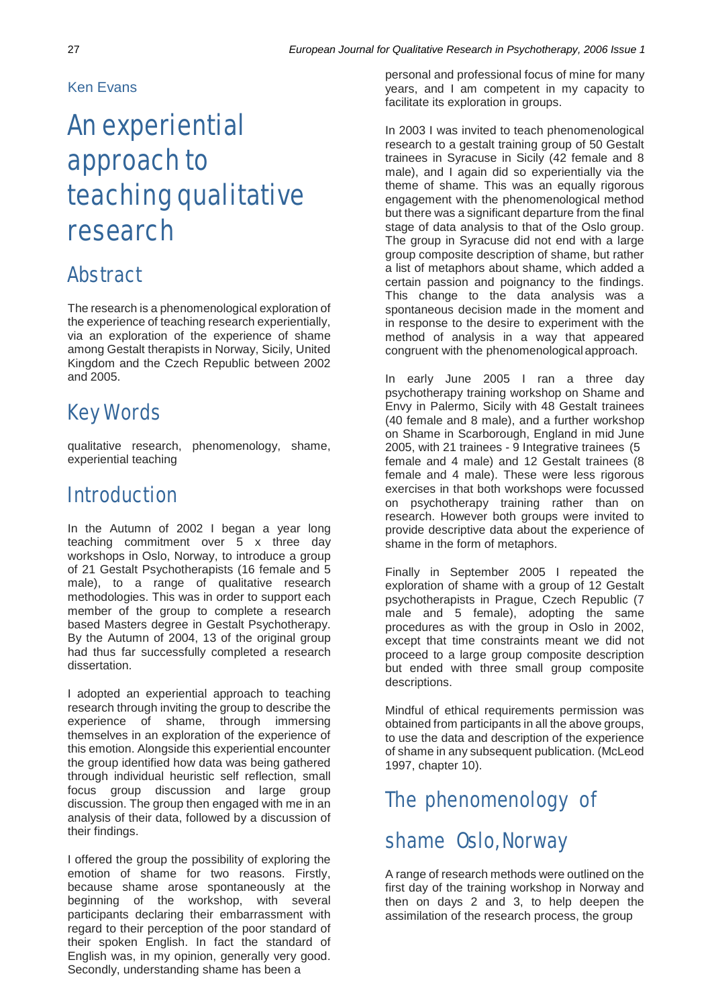#### Ken Evans

# An experiential approach to teaching qualitative research

#### Abstract

The research is a phenomenological exploration of the experience of teaching research experientially, via an exploration of the experience of shame among Gestalt therapists in Norway, Sicily, United Kingdom and the Czech Republic between 2002 and 2005.

### Key Words

qualitative research, phenomenology, shame, experiential teaching

#### Introduction

In the Autumn of 2002 I began a year long teaching commitment over 5 x three day workshops in Oslo, Norway, to introduce a group of 21 Gestalt Psychotherapists (16 female and 5 male), to a range of qualitative research methodologies. This was in order to support each member of the group to complete a research based Masters degree in Gestalt Psychotherapy. By the Autumn of 2004, 13 of the original group had thus far successfully completed a research dissertation.

I adopted an experiential approach to teaching research through inviting the group to describe the experience of shame, through immersing themselves in an exploration of the experience of this emotion. Alongside this experiential encounter the group identified how data was being gathered through individual heuristic self reflection, small focus group discussion and large group discussion. The group then engaged with me in an analysis of their data, followed by a discussion of their findings.

I offered the group the possibility of exploring the emotion of shame for two reasons. Firstly, because shame arose spontaneously at the beginning of the workshop, with several participants declaring their embarrassment with regard to their perception of the poor standard of their spoken English. In fact the standard of English was, in my opinion, generally very good. Secondly, understanding shame has been a

personal and professional focus of mine for many years, and I am competent in my capacity to facilitate its exploration in groups.

In 2003 I was invited to teach phenomenological research to a gestalt training group of 50 Gestalt trainees in Syracuse in Sicily (42 female and 8 male), and I again did so experientially via the theme of shame. This was an equally rigorous engagement with the phenomenological method but there was a significant departure from the final stage of data analysis to that of the Oslo group. The group in Syracuse did not end with a large group composite description of shame, but rather a list of metaphors about shame, which added a certain passion and poignancy to the findings. This change to the data analysis was a spontaneous decision made in the moment and in response to the desire to experiment with the method of analysis in a way that appeared congruent with the phenomenological approach.

In early June 2005 I ran a three day psychotherapy training workshop on Shame and Envy in Palermo, Sicily with 48 Gestalt trainees (40 female and 8 male), and a further workshop on Shame in Scarborough, England in mid June 2005, with 21 trainees - 9 Integrative trainees (5 female and 4 male) and 12 Gestalt trainees (8 female and 4 male). These were less rigorous exercises in that both workshops were focussed on psychotherapy training rather than on research. However both groups were invited to provide descriptive data about the experience of shame in the form of metaphors.

Finally in September 2005 I repeated the exploration of shame with a group of 12 Gestalt psychotherapists in Prague, Czech Republic (7 male and 5 female), adopting the same procedures as with the group in Oslo in 2002, except that time constraints meant we did not proceed to a large group composite description but ended with three small group composite descriptions.

Mindful of ethical requirements permission was obtained from participants in all the above groups, to use the data and description of the experience of shame in any subsequent publication. (McLeod 1997, chapter 10).

## The phenomenology of shame Oslo, Norway

A range of research methods were outlined on the first day of the training workshop in Norway and then on days 2 and 3, to help deepen the assimilation of the research process, the group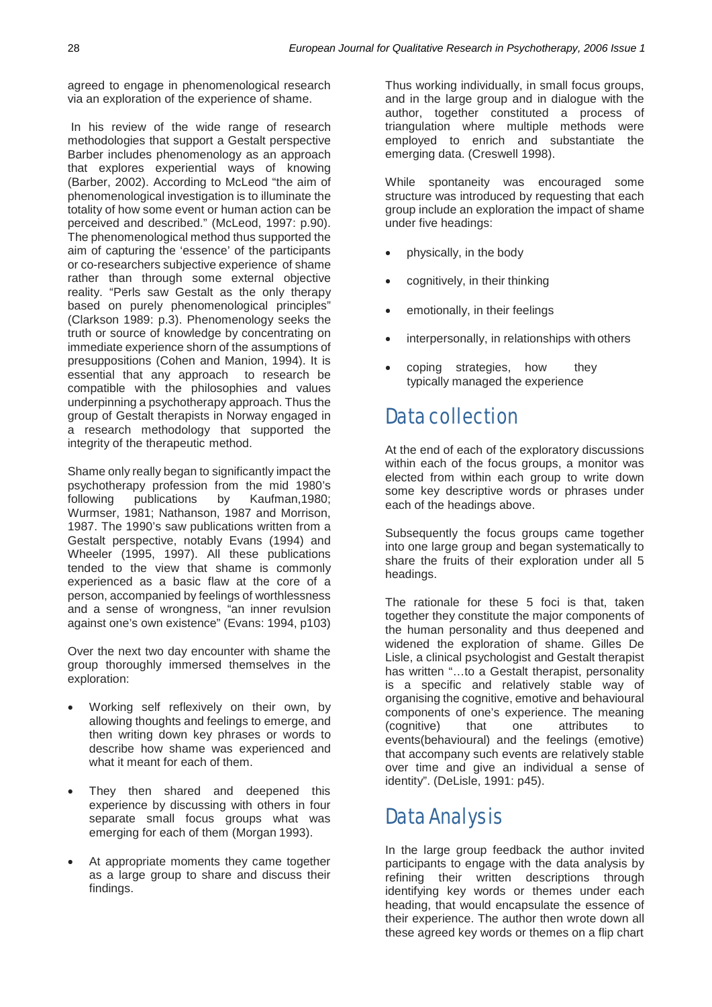agreed to engage in phenomenological research via an exploration of the experience of shame.

In his review of the wide range of research methodologies that support a Gestalt perspective Barber includes phenomenology as an approach that explores experiential ways of knowing (Barber, 2002). According to McLeod "the aim of phenomenological investigation is to illuminate the totality of how some event or human action can be perceived and described." (McLeod, 1997: p.90). The phenomenological method thus supported the aim of capturing the 'essence' of the participants or co-researchers subjective experience of shame rather than through some external objective reality. "Perls saw Gestalt as the only therapy based on purely phenomenological principles" (Clarkson 1989: p.3). Phenomenology seeks the truth or source of knowledge by concentrating on immediate experience shorn of the assumptions of presuppositions (Cohen and Manion, 1994). It is essential that any approach to research be compatible with the philosophies and values underpinning a psychotherapy approach. Thus the group of Gestalt therapists in Norway engaged in a research methodology that supported the integrity of the therapeutic method.

Shame only really began to significantly impact the psychotherapy profession from the mid 1980's following publications by Kaufman,1980; Wurmser, 1981; Nathanson, 1987 and Morrison, 1987. The 1990's saw publications written from a Gestalt perspective, notably Evans (1994) and Wheeler (1995, 1997). All these publications tended to the view that shame is commonly experienced as a basic flaw at the core of a person, accompanied by feelings of worthlessness and a sense of wrongness, "an inner revulsion against one's own existence" (Evans: 1994, p103)

Over the next two day encounter with shame the group thoroughly immersed themselves in the exploration:

- Working self reflexively on their own, by allowing thoughts and feelings to emerge, and then writing down key phrases or words to describe how shame was experienced and what it meant for each of them.
- They then shared and deepened this experience by discussing with others in four separate small focus groups what was emerging for each of them (Morgan 1993).
- At appropriate moments they came together as a large group to share and discuss their findings.

Thus working individually, in small focus groups, and in the large group and in dialogue with the author, together constituted a process of triangulation where multiple methods were employed to enrich and substantiate the emerging data. (Creswell 1998).

While spontaneity was encouraged some structure was introduced by requesting that each group include an exploration the impact of shame under five headings:

- physically, in the body
- cognitively, in their thinking
- emotionally, in their feelings
- interpersonally, in relationships with others
- coping strategies, how they typically managed the experience

#### Data collection

At the end of each of the exploratory discussions within each of the focus groups, a monitor was elected from within each group to write down some key descriptive words or phrases under each of the headings above.

Subsequently the focus groups came together into one large group and began systematically to share the fruits of their exploration under all 5 headings.

The rationale for these 5 foci is that, taken together they constitute the major components of the human personality and thus deepened and widened the exploration of shame. Gilles De Lisle, a clinical psychologist and Gestalt therapist has written "…to a Gestalt therapist, personality is a specific and relatively stable way of organising the cognitive, emotive and behavioural components of one's experience. The meaning<br>(cognitive) that one attributes to (cognitive) that one attributes to events(behavioural) and the feelings (emotive) that accompany such events are relatively stable over time and give an individual a sense of identity". (DeLisle, 1991: p45).

#### Data Analysis

In the large group feedback the author invited participants to engage with the data analysis by refining their written descriptions through identifying key words or themes under each heading, that would encapsulate the essence of their experience. The author then wrote down all these agreed key words or themes on a flip chart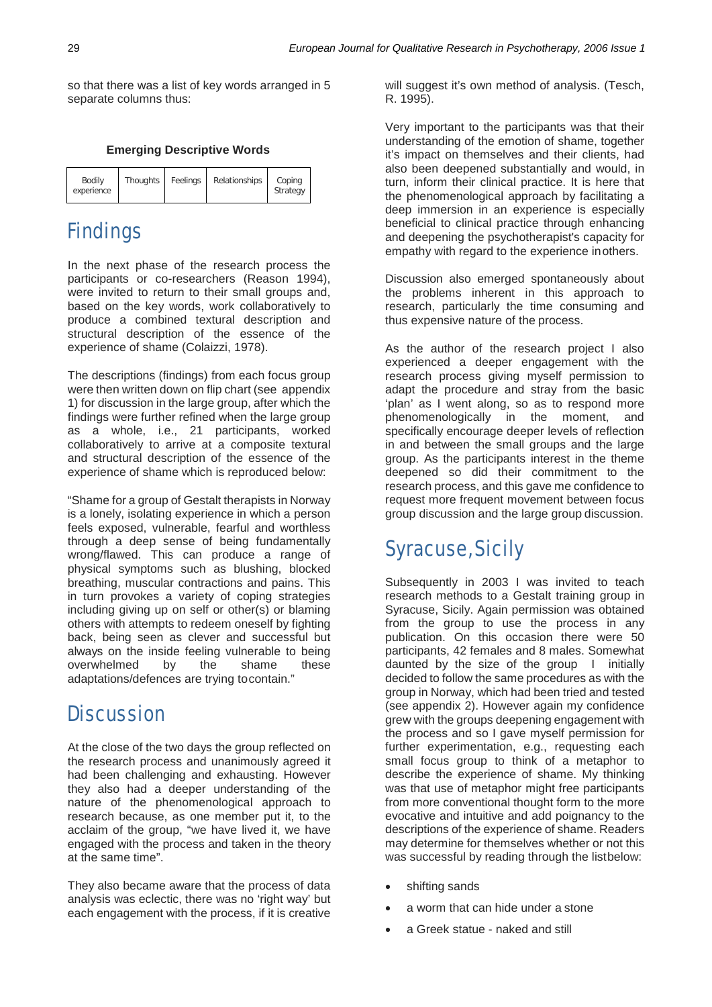so that there was a list of key words arranged in 5 separate columns thus:

#### **Emerging Descriptive Words**

| <b>Bodily</b><br>experience | Thoughts Feelings | Relationships | Coping<br>Strategy |
|-----------------------------|-------------------|---------------|--------------------|
|                             |                   |               |                    |

#### **Findings**

In the next phase of the research process the participants or co-researchers (Reason 1994), were invited to return to their small groups and, based on the key words, work collaboratively to produce a combined textural description and structural description of the essence of the experience of shame (Colaizzi, 1978).

The descriptions (findings) from each focus group were then written down on flip chart (see appendix 1) for discussion in the large group, after which the findings were further refined when the large group as a whole, i.e., 21 participants, worked collaboratively to arrive at a composite textural and structural description of the essence of the experience of shame which is reproduced below:

"Shame for a group of Gestalt therapists in Norway is a lonely, isolating experience in which a person feels exposed, vulnerable, fearful and worthless through a deep sense of being fundamentally wrong/flawed. This can produce a range of physical symptoms such as blushing, blocked breathing, muscular contractions and pains. This in turn provokes a variety of coping strategies including giving up on self or other(s) or blaming others with attempts to redeem oneself by fighting back, being seen as clever and successful but always on the inside feeling vulnerable to being overwhelmed by the shame these adaptations/defences are trying tocontain."

#### **Discussion**

At the close of the two days the group reflected on the research process and unanimously agreed it had been challenging and exhausting. However they also had a deeper understanding of the nature of the phenomenological approach to research because, as one member put it, to the acclaim of the group, "we have lived it, we have engaged with the process and taken in the theory at the same time".

They also became aware that the process of data analysis was eclectic, there was no 'right way' but each engagement with the process, if it is creative will suggest it's own method of analysis. (Tesch, R. 1995).

Very important to the participants was that their understanding of the emotion of shame, together it's impact on themselves and their clients, had also been deepened substantially and would, in turn, inform their clinical practice. It is here that the phenomenological approach by facilitating a deep immersion in an experience is especially beneficial to clinical practice through enhancing and deepening the psychotherapist's capacity for empathy with regard to the experience inothers.

Discussion also emerged spontaneously about the problems inherent in this approach to research, particularly the time consuming and thus expensive nature of the process.

As the author of the research project I also experienced a deeper engagement with the research process giving myself permission to adapt the procedure and stray from the basic 'plan' as I went along, so as to respond more phenomenologically in the moment, and specifically encourage deeper levels of reflection in and between the small groups and the large group. As the participants interest in the theme deepened so did their commitment to the research process, and this gave me confidence to request more frequent movement between focus group discussion and the large group discussion.

#### Syracuse, Sicily

Subsequently in 2003 I was invited to teach research methods to a Gestalt training group in Syracuse, Sicily. Again permission was obtained from the group to use the process in any publication. On this occasion there were 50 participants, 42 females and 8 males. Somewhat daunted by the size of the group I initially decided to follow the same procedures as with the group in Norway, which had been tried and tested (see appendix 2). However again my confidence grew with the groups deepening engagement with the process and so I gave myself permission for further experimentation, e.g., requesting each small focus group to think of a metaphor to describe the experience of shame. My thinking was that use of metaphor might free participants from more conventional thought form to the more evocative and intuitive and add poignancy to the descriptions of the experience of shame. Readers may determine for themselves whether or not this was successful by reading through the listbelow:

- shifting sands
- a worm that can hide under a stone
- a Greek statue naked and still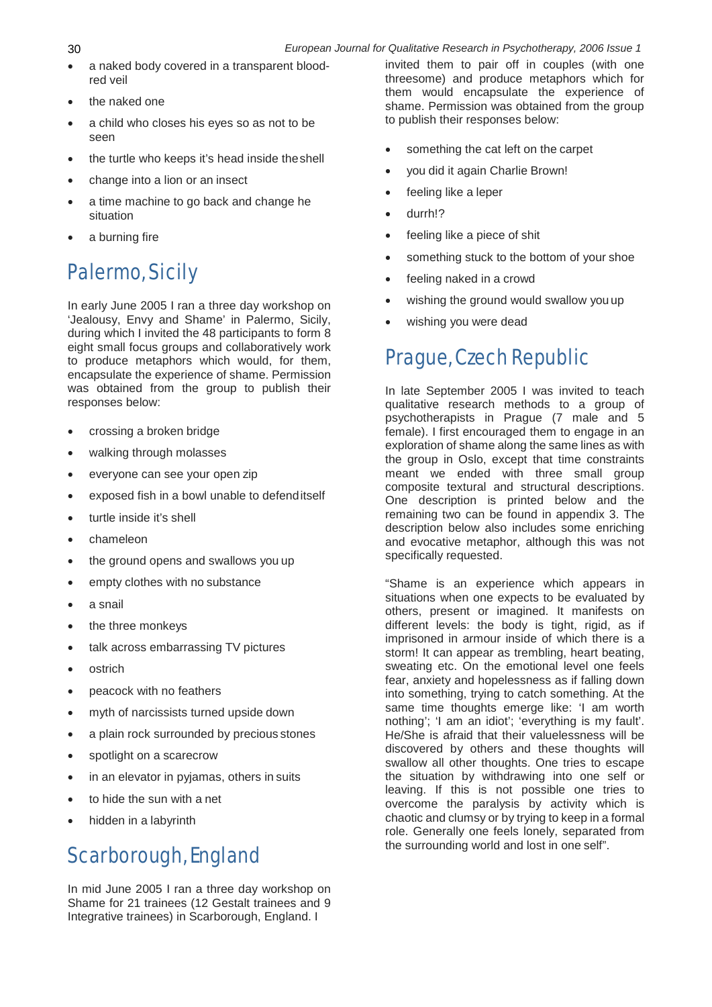- a naked body covered in a transparent bloodred veil
- the naked one
- a child who closes his eyes so as not to be seen
- the turtle who keeps it's head inside the shell
- change into a lion or an insect
- a time machine to go back and change he situation
- a burning fire

## Palermo, Sicily

In early June 2005 I ran a three day workshop on 'Jealousy, Envy and Shame' in Palermo, Sicily, during which I invited the 48 participants to form 8 eight small focus groups and collaboratively work to produce metaphors which would, for them, encapsulate the experience of shame. Permission was obtained from the group to publish their responses below:

- crossing a broken bridge
- walking through molasses
- everyone can see your open zip
- exposed fish in a bowl unable to defenditself
- turtle inside it's shell
- chameleon
- the ground opens and swallows you up
- empty clothes with no substance
- a snail
- the three monkeys
- talk across embarrassing TV pictures
- **ostrich**
- peacock with no feathers
- myth of narcissists turned upside down
- a plain rock surrounded by precious stones
- spotlight on a scarecrow
- in an elevator in pyjamas, others in suits
- to hide the sun with a net
- hidden in a labyrinth

### Scarborough, England

In mid June 2005 I ran a three day workshop on Shame for 21 trainees (12 Gestalt trainees and 9 Integrative trainees) in Scarborough, England. I

invited them to pair off in couples (with one threesome) and produce metaphors which for them would encapsulate the experience of shame. Permission was obtained from the group to publish their responses below:

- something the cat left on the carpet
- you did it again Charlie Brown!
- feeling like a leper
- durrh!?
- feeling like a piece of shit
- something stuck to the bottom of your shoe
- feeling naked in a crowd
- wishing the ground would swallow you up
- wishing you were dead

#### Prague, Czech Republic

In late September 2005 I was invited to teach qualitative research methods to a group of psychotherapists in Prague (7 male and 5 female). I first encouraged them to engage in an exploration of shame along the same lines as with the group in Oslo, except that time constraints meant we ended with three small group composite textural and structural descriptions. One description is printed below and the remaining two can be found in appendix 3. The description below also includes some enriching and evocative metaphor, although this was not specifically requested.

"Shame is an experience which appears in situations when one expects to be evaluated by others, present or imagined. It manifests on different levels: the body is tight, rigid, as if imprisoned in armour inside of which there is a storm! It can appear as trembling, heart beating, sweating etc. On the emotional level one feels fear, anxiety and hopelessness as if falling down into something, trying to catch something. At the same time thoughts emerge like: 'I am worth nothing'; 'I am an idiot'; 'everything is my fault'. He/She is afraid that their valuelessness will be discovered by others and these thoughts will swallow all other thoughts. One tries to escape the situation by withdrawing into one self or leaving. If this is not possible one tries to overcome the paralysis by activity which is chaotic and clumsy or by trying to keep in a formal role. Generally one feels lonely, separated from the surrounding world and lost in one self".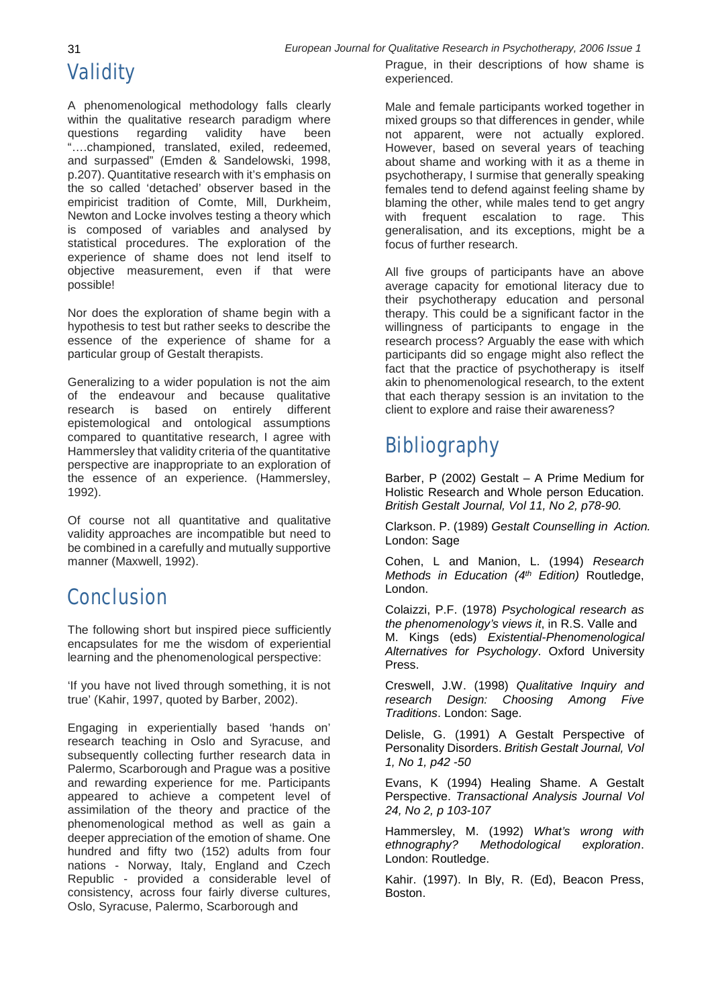# **Validity**

A phenomenological methodology falls clearly within the qualitative research paradigm where questions regarding validity have been "….championed, translated, exiled, redeemed, and surpassed" (Emden & Sandelowski, 1998, p.207). Quantitative research with it's emphasis on the so called 'detached' observer based in the empiricist tradition of Comte, Mill, Durkheim, Newton and Locke involves testing a theory which is composed of variables and analysed by statistical procedures. The exploration of the experience of shame does not lend itself to objective measurement, even if that were possible!

Nor does the exploration of shame begin with a hypothesis to test but rather seeks to describe the essence of the experience of shame for a particular group of Gestalt therapists.

Generalizing to a wider population is not the aim of the endeavour and because qualitative research is based on entirely different epistemological and ontological assumptions compared to quantitative research, I agree with Hammersley that validity criteria of the quantitative perspective are inappropriate to an exploration of the essence of an experience. (Hammersley, 1992).

Of course not all quantitative and qualitative validity approaches are incompatible but need to be combined in a carefully and mutually supportive manner (Maxwell, 1992).

#### Conclusion

The following short but inspired piece sufficiently encapsulates for me the wisdom of experiential learning and the phenomenological perspective:

'If you have not lived through something, it is not true' (Kahir, 1997, quoted by Barber, 2002).

Engaging in experientially based 'hands on' research teaching in Oslo and Syracuse, and subsequently collecting further research data in Palermo, Scarborough and Prague was a positive and rewarding experience for me. Participants appeared to achieve a competent level of assimilation of the theory and practice of the phenomenological method as well as gain a deeper appreciation of the emotion of shame. One hundred and fifty two (152) adults from four nations - Norway, Italy, England and Czech Republic - provided a considerable level of consistency, across four fairly diverse cultures, Oslo, Syracuse, Palermo, Scarborough and

31 *European Journal for Qualitative Research in Psychotherapy, 2006 Issue 1* Prague, in their descriptions of how shame is experienced.

> Male and female participants worked together in mixed groups so that differences in gender, while not apparent, were not actually explored. However, based on several years of teaching about shame and working with it as a theme in psychotherapy, I surmise that generally speaking females tend to defend against feeling shame by blaming the other, while males tend to get angry with frequent escalation to rage. This generalisation, and its exceptions, might be a focus of further research.

> All five groups of participants have an above average capacity for emotional literacy due to their psychotherapy education and personal therapy. This could be a significant factor in the willingness of participants to engage in the research process? Arguably the ease with which participants did so engage might also reflect the fact that the practice of psychotherapy is itself akin to phenomenological research, to the extent that each therapy session is an invitation to the client to explore and raise their awareness?

#### **Bibliography**

Barber, P (2002) Gestalt – A Prime Medium for Holistic Research and Whole person Education. *British Gestalt Journal, Vol 11, No 2, p78-90.*

Clarkson. P. (1989) *Gestalt Counselling in Action.* London: Sage

Cohen, L and Manion, L. (1994) *Research Methods in Education (4th Edition)* Routledge, London.

Colaizzi, P.F. (1978) *Psychological research as the phenomenology's views it*, in R.S. Valle and M. Kings (eds) *Existential-Phenomenological Alternatives for Psychology*. Oxford University Press.

Creswell, J.W. (1998) *Qualitative Inquiry and research Design: Choosing Among Five Traditions*. London: Sage.

Delisle, G. (1991) A Gestalt Perspective of Personality Disorders. *British Gestalt Journal, Vol 1, No 1, p42 -50*

Evans, K (1994) Healing Shame. A Gestalt Perspective. *Transactional Analysis Journal Vol 24, No 2, p 103-107*

Hammersley, M. (1992) *What's wrong with ethnography? Methodological exploration*. London: Routledge.

Kahir. (1997). In Bly, R. (Ed), Beacon Press, Boston.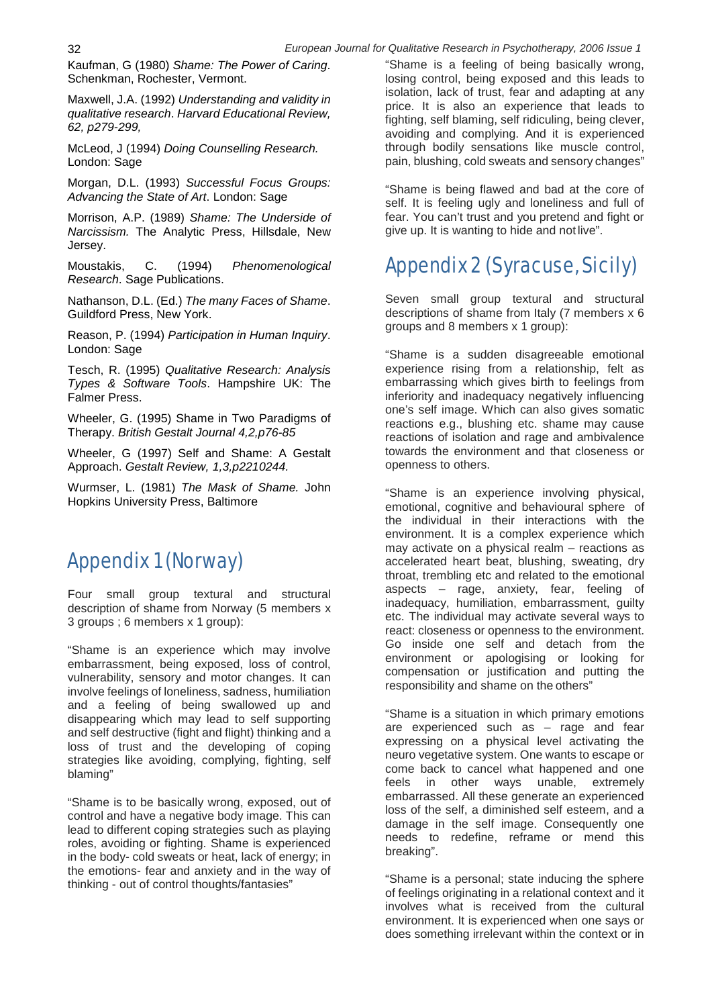Kaufman, G (1980) *Shame: The Power of Caring*. Schenkman, Rochester, Vermont.

Maxwell, J.A. (1992) *Understanding and validity in qualitative research*. *Harvard Educational Review, 62, p279-299,*

McLeod, J (1994) *Doing Counselling Research.* London: Sage

Morgan, D.L. (1993) *Successful Focus Groups: Advancing the State of Art*. London: Sage

Morrison, A.P. (1989) *Shame: The Underside of Narcissism.* The Analytic Press, Hillsdale, New Jersey.

Moustakis, C. (1994) *Phenomenological Research*. Sage Publications.

Nathanson, D.L. (Ed.) *The many Faces of Shame*. Guildford Press, New York.

Reason, P. (1994) *Participation in Human Inquiry*. London: Sage

Tesch, R. (1995) *Qualitative Research: Analysis Types & Software Tools*. Hampshire UK: The Falmer Press.

Wheeler, G. (1995) Shame in Two Paradigms of Therapy. *British Gestalt Journal 4,2,p76-85*

Wheeler, G (1997) Self and Shame: A Gestalt Approach. *Gestalt Review, 1,3,p2210244.*

Wurmser, L. (1981) *The Mask of Shame.* John Hopkins University Press, Baltimore

#### Appendix 1 (Norway)

Four small group textural and structural description of shame from Norway (5 members x 3 groups ; 6 members x 1 group):

"Shame is an experience which may involve embarrassment, being exposed, loss of control, vulnerability, sensory and motor changes. It can involve feelings of loneliness, sadness, humiliation and a feeling of being swallowed up and disappearing which may lead to self supporting and self destructive (fight and flight) thinking and a loss of trust and the developing of coping strategies like avoiding, complying, fighting, self blaming"

"Shame is to be basically wrong, exposed, out of control and have a negative body image. This can lead to different coping strategies such as playing roles, avoiding or fighting. Shame is experienced in the body- cold sweats or heat, lack of energy; in the emotions- fear and anxiety and in the way of thinking - out of control thoughts/fantasies"

"Shame is a feeling of being basically wrong, losing control, being exposed and this leads to isolation, lack of trust, fear and adapting at any price. It is also an experience that leads to fighting, self blaming, self ridiculing, being clever, avoiding and complying. And it is experienced through bodily sensations like muscle control, pain, blushing, cold sweats and sensory changes"

"Shame is being flawed and bad at the core of self. It is feeling ugly and loneliness and full of fear. You can't trust and you pretend and fight or give up. It is wanting to hide and not live".

### Appendix 2 (Syracuse, Sicily)

Seven small group textural and structural descriptions of shame from Italy (7 members x 6 groups and 8 members x 1 group):

"Shame is a sudden disagreeable emotional experience rising from a relationship, felt as embarrassing which gives birth to feelings from inferiority and inadequacy negatively influencing one's self image. Which can also gives somatic reactions e.g., blushing etc. shame may cause reactions of isolation and rage and ambivalence towards the environment and that closeness or openness to others.

"Shame is an experience involving physical, emotional, cognitive and behavioural sphere of the individual in their interactions with the environment. It is a complex experience which may activate on a physical realm – reactions as accelerated heart beat, blushing, sweating, dry throat, trembling etc and related to the emotional aspects – rage, anxiety, fear, feeling of inadequacy, humiliation, embarrassment, guilty etc. The individual may activate several ways to react: closeness or openness to the environment. Go inside one self and detach from the environment or apologising or looking for compensation or justification and putting the responsibility and shame on the others"

"Shame is a situation in which primary emotions are experienced such as – rage and fear expressing on a physical level activating the neuro vegetative system. One wants to escape or come back to cancel what happened and one<br>feels in other ways unable, extremely feels in other ways unable, extremely embarrassed. All these generate an experienced loss of the self, a diminished self esteem, and a damage in the self image. Consequently one needs to redefine, reframe or mend this breaking".

"Shame is a personal; state inducing the sphere of feelings originating in a relational context and it involves what is received from the cultural environment. It is experienced when one says or does something irrelevant within the context or in